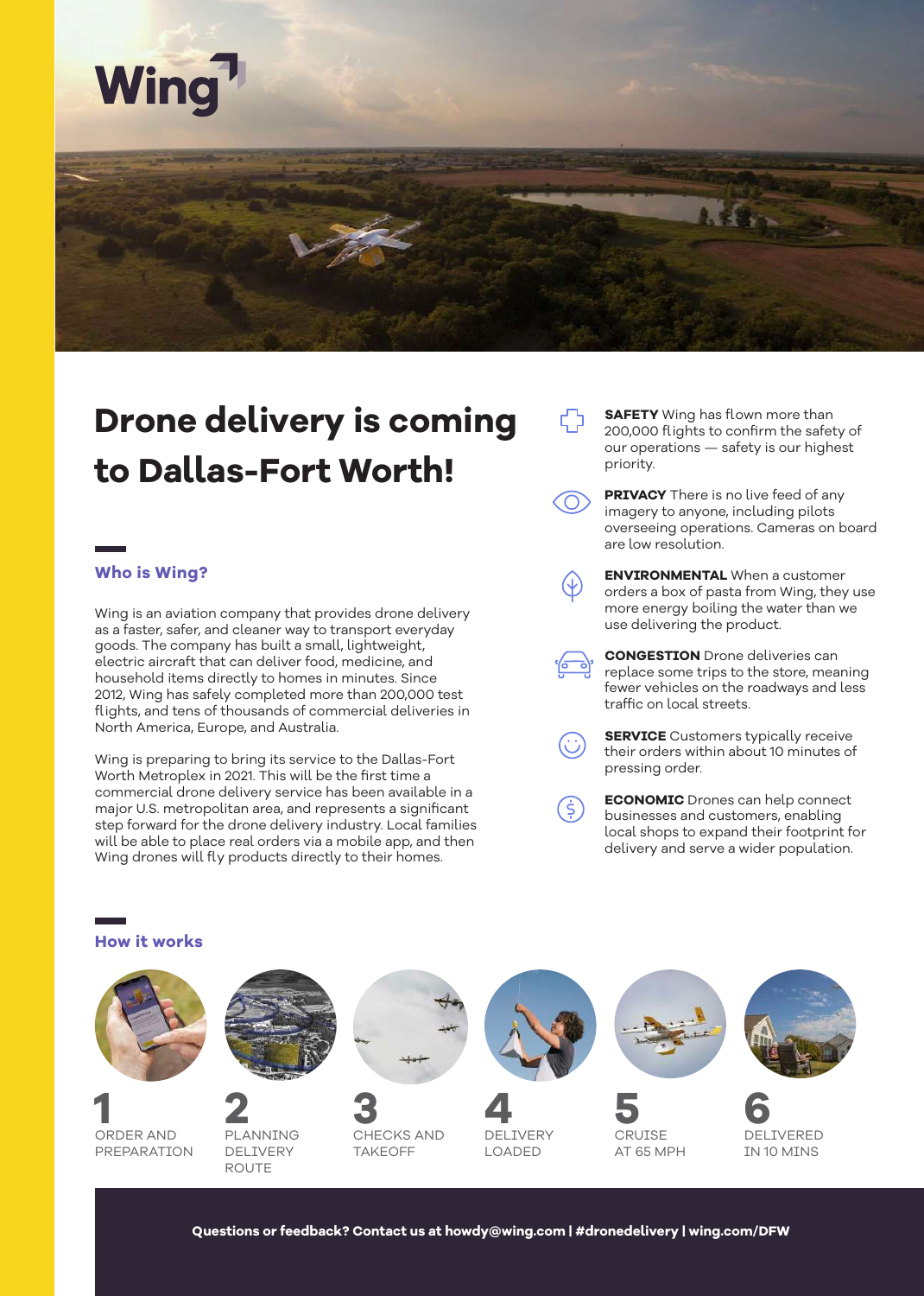

### **Drone delivery is coming to Dallas-Fort Worth!**

### **Who is Wing?**

wing.com

Wing is an aviation company that provides drone delivery as a faster, safer, and cleaner way to transport everyday goods. The company has built a small, lightweight, electric aircraft that can deliver food, medicine, and household items directly to homes in minutes. Since 2012, Wing has safely completed more than 200,000 test flights, and tens of thousands of commercial deliveries in North America, Europe, and Australia.

Wing is preparing to bring its service to the Dallas-Fort Worth Metroplex in 2021. This will be the first time a commercial drone delivery service has been available in a major U.S. metropolitan area, and represents a significant step forward for the drone delivery industry. Local families will be able to place real orders via a mobile app, and then Wing drones will fly products directly to their homes.

**SAFETY** Wing has flown more than 200,000 flights to confirm the safety of our operations — safety is our highest priority.

**PRIVACY** There is no live feed of any imagery to anyone, including pilots overseeing operations. Cameras on board are low resolution.

**ENVIRONMENTAL** When a customer orders a box of pasta from Wing, they use more energy boiling the water than we use delivering the product.

**CONGESTION** Drone deliveries can replace some trips to the store, meaning fewer vehicles on the roadways and less traffic on local streets.

**SERVICE** Customers typically receive their orders within about 10 minutes of pressing order.

**ECONOMIC** Drones can help connect businesses and customers, enabling local shops to expand their footprint for delivery and serve a wider population.



( Ś )

**Questions or feedback? Contact us at howdy@wing.com | #dronedelivery | wing.com/DFW**